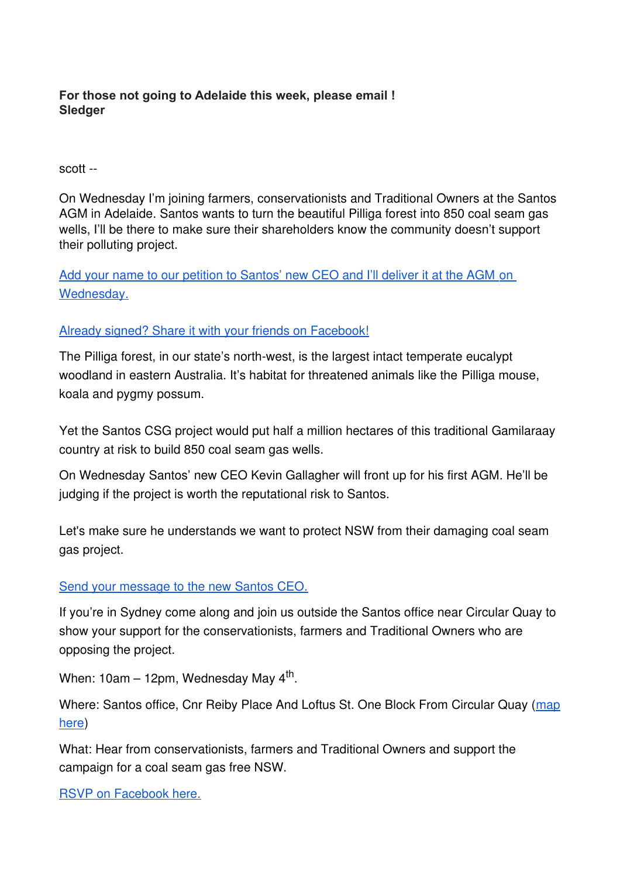## **For those not going to Adelaide this week, please email ! Sledger**

## scott --

On Wednesday I'm joining farmers, conservationists and Traditional Owners at the Santos AGM in Adelaide. Santos wants to turn the beautiful Pilliga forest into 850 coal seam gas wells, I'll be there to make sure their shareholders know the community doesn't support their polluting project.

 Add your name to our petition to Santos' new CEO and I'll deliver it at the AGM on [Wednesday.](https://natureorg.nationbuilder.com/r?u=http%3A%2F%2Fwww.nature.org.au%2Fget-involved%2Ftake-action%2Flets-make-nsw-csg-free%2F&e=c165d74a03bfcdcde66c711bf2ef98b0&utm_source=natureorg&utm_medium=email&utm_campaign=pilligaagmrecru&n=1)

## [Already signed? Share it with your friends on Facebook!](https://natureorg.nationbuilder.com/r?u=http%3A%2F%2Fwww.nature.org.au%2Fget-involved%2Ftake-action%2Flets-make-nsw-csg-free%2F&e=c165d74a03bfcdcde66c711bf2ef98b0&utm_source=natureorg&utm_medium=email&utm_campaign=pilligaagmrecru&n=1)

The Pilliga forest, in our state's north-west, is the largest intact temperate eucalypt woodland in eastern Australia. It's habitat for threatened animals like the Pilliga mouse, koala and pygmy possum.

Yet the Santos CSG project would put half a million hectares of this traditional Gamilaraay country at risk to build 850 coal seam gas wells.

On Wednesday Santos' new CEO Kevin Gallagher will front up for his first AGM. He'll be judging if the project is worth the reputational risk to Santos.

Let's make sure he understands we want to protect NSW from their damaging coal seam gas project.

## [Send your message to the new Santos CEO.](https://natureorg.nationbuilder.com/r?u=http%3A%2F%2Fwww.nature.org.au%2Fget-involved%2Ftake-action%2Flets-make-nsw-csg-free%2F&e=c165d74a03bfcdcde66c711bf2ef98b0&utm_source=natureorg&utm_medium=email&utm_campaign=pilligaagmrecru&n=2)

If you're in Sydney come along and join us outside the Santos office near Circular Quay to show your support for the conservationists, farmers and Traditional Owners who are opposing the project.

When: 10am – 12pm, Wednesday May 4<sup>th</sup>.

Where: Santos office, Cnr Reiby Place And Loftus St. One Block From Circular Quay ([map](https://natureorg.nationbuilder.com/r?u=https%3A%2F%2Fwww.google.com.au%2Fmaps%2Fplace%2FLoftus%2BSt%2B%2526%2BReiby%2BPl%2C%2BSydney%2BNSW%2B2000%2F@-33.8628592%2C151.2082331%2C17z%2Fdata%3D!3m1!4b1!4m2!3m1!1s0x6b12ae69e1048f2d%3A0x3c3bfb5da17241c9&e=c165d74a03bfcdcde66c711bf2ef98b0&utm_source=natureorg&utm_medium=email&utm_campaign=pilligaagmrecru&n=3) [here\)](https://natureorg.nationbuilder.com/r?u=https%3A%2F%2Fwww.google.com.au%2Fmaps%2Fplace%2FLoftus%2BSt%2B%2526%2BReiby%2BPl%2C%2BSydney%2BNSW%2B2000%2F@-33.8628592%2C151.2082331%2C17z%2Fdata%3D!3m1!4b1!4m2!3m1!1s0x6b12ae69e1048f2d%3A0x3c3bfb5da17241c9&e=c165d74a03bfcdcde66c711bf2ef98b0&utm_source=natureorg&utm_medium=email&utm_campaign=pilligaagmrecru&n=3)

What: Hear from conservationists, farmers and Traditional Owners and support the campaign for a coal seam gas free NSW.

[RSVP on Facebook here.](https://natureorg.nationbuilder.com/r?u=https%3A%2F%2Fwww.facebook.com%2Fevents%2F1517157441924567%2F&e=c165d74a03bfcdcde66c711bf2ef98b0&utm_source=natureorg&utm_medium=email&utm_campaign=pilligaagmrecru&n=4)